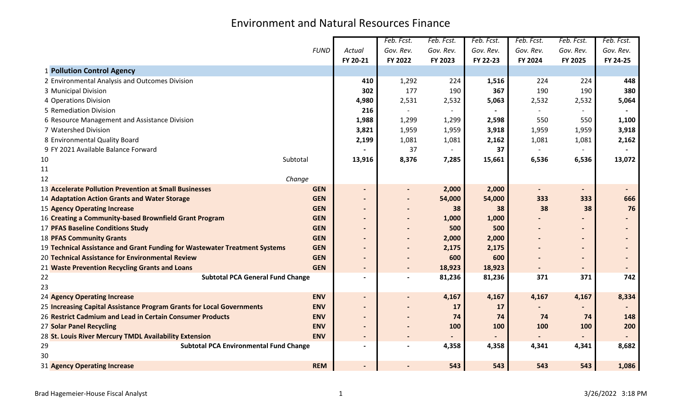|                                                                            |             |                          | Feb. Fcst.               | Feb. Fcst.               | Feb. Fcst.     | Feb. Fcst.               | Feb. Fcst.               | Feb. Fcst.               |
|----------------------------------------------------------------------------|-------------|--------------------------|--------------------------|--------------------------|----------------|--------------------------|--------------------------|--------------------------|
|                                                                            | <b>FUND</b> | Actual                   | Gov. Rev.                | Gov. Rev.                | Gov. Rev.      | Gov. Rev.                | Gov. Rev.                | Gov. Rev.                |
|                                                                            |             | FY 20-21                 | FY 2022                  | FY 2023                  | FY 22-23       | FY 2024                  | FY 2025                  | FY 24-25                 |
| 1 Pollution Control Agency                                                 |             |                          |                          |                          |                |                          |                          |                          |
| 2 Environmental Analysis and Outcomes Division                             |             | 410                      | 1,292                    | 224                      | 1,516          | 224                      | 224                      | 448                      |
| 3 Municipal Division                                                       |             | 302                      | 177                      | 190                      | 367            | 190                      | 190                      | 380                      |
| 4 Operations Division                                                      |             | 4,980                    | 2,531                    | 2,532                    | 5,063          | 2,532                    | 2,532                    | 5,064                    |
| 5 Remediation Division                                                     |             | 216                      | $\overline{\phantom{a}}$ | $\overline{\phantom{a}}$ | $\blacksquare$ | $\overline{\phantom{a}}$ |                          | $\overline{\phantom{a}}$ |
| 6 Resource Management and Assistance Division                              |             | 1,988                    | 1,299                    | 1,299                    | 2,598          | 550                      | 550                      | 1,100                    |
| 7 Watershed Division                                                       |             | 3,821                    | 1,959                    | 1,959                    | 3,918          | 1,959                    | 1,959                    | 3,918                    |
| 8 Environmental Quality Board                                              |             | 2,199                    | 1,081                    | 1,081                    | 2,162          | 1,081                    | 1,081                    | 2,162                    |
| 9 FY 2021 Available Balance Forward                                        |             |                          | 37                       |                          | 37             |                          |                          |                          |
| 10                                                                         | Subtotal    | 13,916                   | 8,376                    | 7,285                    | 15,661         | 6,536                    | 6,536                    | 13,072                   |
| 11                                                                         |             |                          |                          |                          |                |                          |                          |                          |
| 12                                                                         | Change      |                          |                          |                          |                |                          |                          |                          |
| 13 Accelerate Pollution Prevention at Small Businesses                     | <b>GEN</b>  | $\overline{\phantom{a}}$ |                          | 2,000                    | 2,000          | $\overline{\phantom{a}}$ | $\overline{\phantom{0}}$ |                          |
| 14 Adaptation Action Grants and Water Storage                              | <b>GEN</b>  | $\blacksquare$           |                          | 54,000                   | 54,000         | 333                      | 333                      | 666                      |
| <b>15 Agency Operating Increase</b>                                        | <b>GEN</b>  | $\overline{\phantom{a}}$ |                          | 38                       | 38             | 38                       | 38                       | 76                       |
| 16 Creating a Community-based Brownfield Grant Program                     | <b>GEN</b>  |                          |                          | 1,000                    | 1,000          |                          |                          |                          |
| <b>17 PFAS Baseline Conditions Study</b>                                   | <b>GEN</b>  |                          |                          | 500                      | 500            |                          |                          |                          |
| <b>18 PFAS Community Grants</b>                                            | <b>GEN</b>  |                          |                          | 2,000                    | 2,000          |                          |                          |                          |
| 19 Technical Assistance and Grant Funding for Wastewater Treatment Systems | <b>GEN</b>  | $\overline{\phantom{0}}$ |                          | 2,175                    | 2,175          |                          | $\overline{\phantom{0}}$ |                          |
| 20 Technical Assistance for Environmental Review                           | <b>GEN</b>  | $\overline{\phantom{a}}$ |                          | 600                      | 600            |                          | $\blacksquare$           |                          |
| 21 Waste Prevention Recycling Grants and Loans                             | <b>GEN</b>  | $\overline{\phantom{a}}$ | $\overline{\phantom{0}}$ | 18,923                   | 18,923         |                          | $\blacksquare$           |                          |
| <b>Subtotal PCA General Fund Change</b><br>22                              |             | $\overline{\phantom{a}}$ |                          | 81,236                   | 81,236         | 371                      | 371                      | 742                      |
| 23                                                                         |             |                          |                          |                          |                |                          |                          |                          |
| <b>24 Agency Operating Increase</b>                                        | <b>ENV</b>  | $\blacksquare$           |                          | 4,167                    | 4,167          | 4,167                    | 4,167                    | 8,334                    |
| 25 Increasing Capital Assistance Program Grants for Local Governments      | <b>ENV</b>  | $\overline{\phantom{a}}$ |                          | 17                       | 17             |                          |                          |                          |
| 26 Restrict Cadmium and Lead in Certain Consumer Products                  | <b>ENV</b>  | $\overline{\phantom{0}}$ |                          | 74                       | 74             | 74                       | 74                       | 148                      |
| 27 Solar Panel Recycling                                                   | <b>ENV</b>  |                          |                          | 100                      | 100            | 100                      | 100                      | 200                      |
| 28 St. Louis River Mercury TMDL Availability Extension                     | <b>ENV</b>  | $\blacksquare$           |                          |                          |                |                          |                          |                          |
| 29<br><b>Subtotal PCA Environmental Fund Change</b>                        |             | $\overline{\phantom{a}}$ |                          | 4,358                    | 4,358          | 4,341                    | 4,341                    | 8,682                    |
| 30                                                                         |             |                          |                          |                          |                |                          |                          |                          |
| 31 Agency Operating Increase                                               | <b>REM</b>  | $\blacksquare$           |                          | 543                      | 543            | 543                      | 543                      | 1,086                    |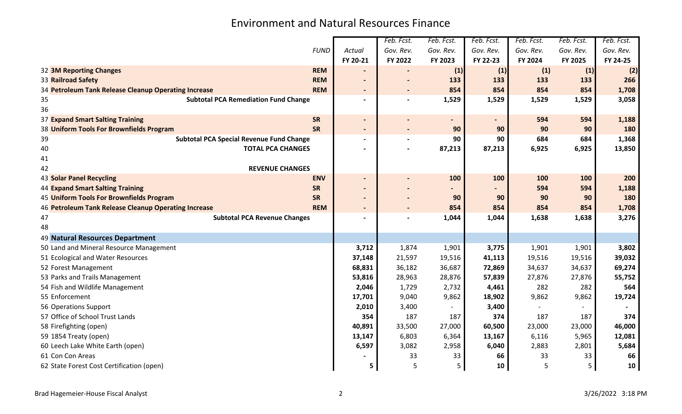|                                                      |                                                 |                          | Feb. Fcst. | Feb. Fcst.               | Feb. Fcst. | Feb. Fcst. | Feb. Fcst. | Feb. Fcst. |
|------------------------------------------------------|-------------------------------------------------|--------------------------|------------|--------------------------|------------|------------|------------|------------|
|                                                      | <b>FUND</b>                                     | Actual                   | Gov. Rev.  | Gov. Rev.                | Gov. Rev.  | Gov. Rev.  | Gov. Rev.  | Gov. Rev.  |
|                                                      |                                                 | FY 20-21                 | FY 2022    | FY 2023                  | FY 22-23   | FY 2024    | FY 2025    | FY 24-25   |
| 32 3M Reporting Changes                              | <b>REM</b>                                      |                          |            | (1)                      | (1)        | (1)        | (1)        | (2)        |
| 33 Railroad Safety                                   | <b>REM</b>                                      | $\overline{\phantom{a}}$ |            | 133                      | 133        | 133        | 133        | 266        |
| 34 Petroleum Tank Release Cleanup Operating Increase | <b>REM</b>                                      | $\blacksquare$           |            | 854                      | 854        | 854        | 854        | 1,708      |
| 35                                                   | <b>Subtotal PCA Remediation Fund Change</b>     | $\blacksquare$           |            | 1,529                    | 1,529      | 1,529      | 1,529      | 3,058      |
| 36                                                   |                                                 |                          |            |                          |            |            |            |            |
| 37 Expand Smart Salting Training                     | <b>SR</b>                                       | $\overline{\phantom{a}}$ |            | $\overline{\phantom{0}}$ |            | 594        | 594        | 1,188      |
| 38 Uniform Tools For Brownfields Program             | SR                                              | $\blacksquare$           |            | 90                       | 90         | 90         | 90         | 180        |
| 39                                                   | <b>Subtotal PCA Special Revenue Fund Change</b> |                          |            | 90                       | 90         | 684        | 684        | 1,368      |
| 40                                                   | <b>TOTAL PCA CHANGES</b>                        |                          |            | 87,213                   | 87,213     | 6,925      | 6,925      | 13,850     |
| 41                                                   |                                                 |                          |            |                          |            |            |            |            |
| 42                                                   | <b>REVENUE CHANGES</b>                          |                          |            |                          |            |            |            |            |
| <b>43 Solar Panel Recycling</b>                      | <b>ENV</b>                                      | $\overline{\phantom{a}}$ |            | 100                      | 100        | 100        | 100        | 200        |
| <b>44 Expand Smart Salting Training</b>              | <b>SR</b>                                       | $\overline{\phantom{a}}$ |            |                          |            | 594        | 594        | 1,188      |
| 45 Uniform Tools For Brownfields Program             | <b>SR</b>                                       |                          |            | 90                       | 90         | 90         | 90         | 180        |
| 46 Petroleum Tank Release Cleanup Operating Increase | <b>REM</b>                                      | $\blacksquare$           |            | 854                      | 854        | 854        | 854        | 1,708      |
| 47                                                   | <b>Subtotal PCA Revenue Changes</b>             | $\overline{\phantom{a}}$ |            | 1,044                    | 1,044      | 1,638      | 1,638      | 3,276      |
| 48                                                   |                                                 |                          |            |                          |            |            |            |            |
| 49 Natural Resources Department                      |                                                 |                          |            |                          |            |            |            |            |
| 50 Land and Mineral Resource Management              |                                                 | 3,712                    | 1,874      | 1,901                    | 3,775      | 1,901      | 1,901      | 3,802      |
| 51 Ecological and Water Resources                    |                                                 | 37,148                   | 21,597     | 19,516                   | 41,113     | 19,516     | 19,516     | 39,032     |
| 52 Forest Management                                 |                                                 | 68,831                   | 36,182     | 36,687                   | 72,869     | 34,637     | 34,637     | 69,274     |
| 53 Parks and Trails Management                       |                                                 | 53,816                   | 28,963     | 28,876                   | 57,839     | 27,876     | 27,876     | 55,752     |
| 54 Fish and Wildlife Management                      |                                                 | 2,046                    | 1,729      | 2,732                    | 4,461      | 282        | 282        | 564        |
| 55 Enforcement                                       |                                                 | 17,701                   | 9,040      | 9,862                    | 18,902     | 9,862      | 9,862      | 19,724     |
| 56 Operations Support                                |                                                 | 2,010                    | 3,400      |                          | 3,400      |            |            |            |
| 57 Office of School Trust Lands                      |                                                 | 354                      | 187        | 187                      | 374        | 187        | 187        | 374        |
| 58 Firefighting (open)                               |                                                 | 40,891                   | 33,500     | 27,000                   | 60,500     | 23,000     | 23,000     | 46,000     |
| 59 1854 Treaty (open)                                |                                                 | 13,147                   | 6,803      | 6,364                    | 13,167     | 6,116      | 5,965      | 12,081     |
| 60 Leech Lake White Earth (open)                     |                                                 | 6,597                    | 3,082      | 2,958                    | 6,040      | 2,883      | 2,801      | 5,684      |
| 61 Con Con Areas                                     |                                                 |                          | 33         | 33                       | 66         | 33         | 33         | 66         |
| 62 State Forest Cost Certification (open)            |                                                 | 5                        | 5          | 5                        | 10         | 5          | 5          | 10         |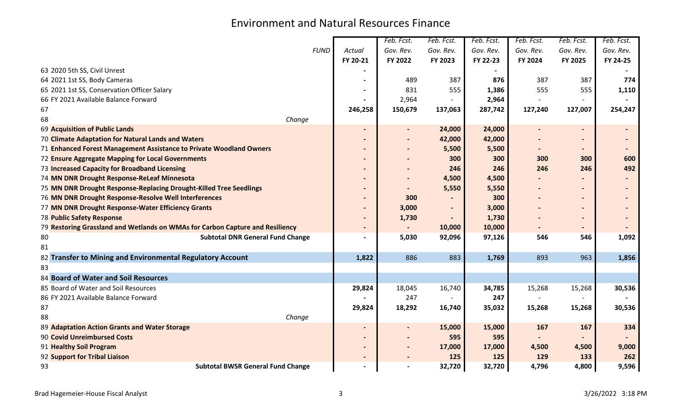|                                               |                                                                               |                              | Feb. Fcst.     | Feb. Fcst. | Feb. Fcst. | Feb. Fcst.                   | Feb. Fcst.               | Feb. Fcst. |
|-----------------------------------------------|-------------------------------------------------------------------------------|------------------------------|----------------|------------|------------|------------------------------|--------------------------|------------|
|                                               | <b>FUND</b>                                                                   | Actual                       | Gov. Rev.      | Gov. Rev.  | Gov. Rev.  | Gov. Rev.                    | Gov. Rev.                | Gov. Rev.  |
|                                               |                                                                               | FY 20-21                     | FY 2022        | FY 2023    | FY 22-23   | FY 2024                      | FY 2025                  | FY 24-25   |
| 63 2020 5th SS, Civil Unrest                  |                                                                               |                              |                |            |            |                              |                          |            |
| 64 2021 1st SS, Body Cameras                  |                                                                               |                              | 489            | 387        | 876        | 387                          | 387                      | 774        |
| 65 2021 1st SS, Conservation Officer Salary   |                                                                               |                              | 831            | 555        | 1,386      | 555                          | 555                      | 1,110      |
| 66 FY 2021 Available Balance Forward          |                                                                               |                              | 2,964          |            | 2,964      |                              |                          |            |
| 67                                            |                                                                               | 246,258                      | 150,679        | 137,063    | 287,742    | 127,240                      | 127,007                  | 254,247    |
| 68                                            | Change                                                                        |                              |                |            |            |                              |                          |            |
| 69 Acquisition of Public Lands                |                                                                               |                              |                | 24,000     | 24,000     | $\qquad \qquad \blacksquare$ | $\overline{\phantom{0}}$ |            |
|                                               | 70 Climate Adaptation for Natural Lands and Waters                            |                              |                | 42,000     | 42,000     |                              |                          |            |
|                                               | 71 Enhanced Forest Management Assistance to Private Woodland Owners           |                              |                | 5,500      | 5,500      |                              |                          |            |
|                                               | 72 Ensure Aggregate Mapping for Local Governments                             |                              |                | 300        | 300        | 300                          | 300                      | 600        |
| 73 Increased Capacity for Broadband Licensing |                                                                               |                              |                | 246        | 246        | 246                          | 246                      | 492        |
| 74 MN DNR Drought Response-ReLeaf Minnesota   |                                                                               |                              |                | 4,500      | 4,500      |                              |                          |            |
|                                               | 75 MN DNR Drought Response-Replacing Drought-Killed Tree Seedlings            |                              |                | 5,550      | 5,550      |                              |                          |            |
|                                               | 76 MN DNR Drought Response-Resolve Well Interferences                         | $\qquad \qquad \blacksquare$ | 300            |            | 300        |                              |                          |            |
|                                               | 77 MN DNR Drought Response-Water Efficiency Grants                            | $\blacksquare$               | 3,000          |            | 3,000      |                              |                          |            |
| <b>78 Public Safety Response</b>              |                                                                               |                              | 1,730          |            | 1,730      |                              |                          |            |
|                                               | 79 Restoring Grassland and Wetlands on WMAs for Carbon Capture and Resiliency | $\overline{\phantom{a}}$     | $\blacksquare$ | 10,000     | 10,000     |                              | $\overline{\phantom{0}}$ |            |
| 80                                            | <b>Subtotal DNR General Fund Change</b>                                       |                              | 5,030          | 92,096     | 97,126     | 546                          | 546                      | 1,092      |
| 81                                            |                                                                               |                              |                |            |            |                              |                          |            |
|                                               | 82 Transfer to Mining and Environmental Regulatory Account                    | 1,822                        | 886            | 883        | 1,769      | 893                          | 963                      | 1,856      |
| 83                                            |                                                                               |                              |                |            |            |                              |                          |            |
| 84 Board of Water and Soil Resources          |                                                                               |                              |                |            |            |                              |                          |            |
| 85 Board of Water and Soil Resources          |                                                                               | 29,824                       | 18,045         | 16,740     | 34,785     | 15,268                       | 15,268                   | 30,536     |
| 86 FY 2021 Available Balance Forward          |                                                                               |                              | 247            |            | 247        |                              |                          |            |
| 87                                            |                                                                               | 29,824                       | 18,292         | 16,740     | 35,032     | 15,268                       | 15,268                   | 30,536     |
| 88                                            | Change                                                                        |                              |                |            |            |                              |                          |            |
| 89 Adaptation Action Grants and Water Storage |                                                                               | $\overline{\phantom{a}}$     |                | 15,000     | 15,000     | 167                          | 167                      | 334        |
| 90 Covid Unreimbursed Costs                   |                                                                               |                              |                | 595        | 595        |                              |                          |            |
| 91 Healthy Soil Program                       |                                                                               |                              |                | 17,000     | 17,000     | 4,500                        | 4,500                    | 9,000      |
| 92 Support for Tribal Liaison                 |                                                                               | $\overline{\phantom{a}}$     |                | 125        | 125        | 129                          | 133                      | 262        |
| 93                                            | <b>Subtotal BWSR General Fund Change</b>                                      |                              |                | 32,720     | 32,720     | 4,796                        | 4,800                    | 9,596      |